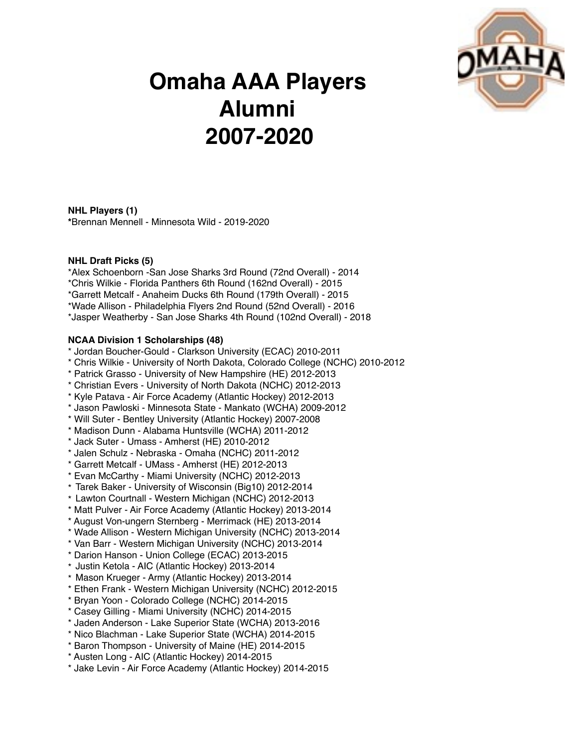

# **Omaha AAA Players Alumni 2007-2020**

**NHL Players (1) \***Brennan Mennell - Minnesota Wild - 2019-2020

## **NHL Draft Picks (5)**

\*Alex Schoenborn -San Jose Sharks 3rd Round (72nd Overall) - 2014 \*Chris Wilkie - Florida Panthers 6th Round (162nd Overall) - 2015 \*Garrett Metcalf - Anaheim Ducks 6th Round (179th Overall) - 2015 \*Wade Allison - Philadelphia Flyers 2nd Round (52nd Overall) - 2016 \*Jasper Weatherby - San Jose Sharks 4th Round (102nd Overall) - 2018

## **NCAA Division 1 Scholarships (48)**

- \* Jordan Boucher-Gould Clarkson University (ECAC) 2010-2011
- \* Chris Wilkie University of North Dakota, Colorado College (NCHC) 2010-2012
- \* Patrick Grasso University of New Hampshire (HE) 2012-2013
- \* Christian Evers University of North Dakota (NCHC) 2012-2013
- \* Kyle Patava Air Force Academy (Atlantic Hockey) 2012-2013
- \* Jason Pawloski Minnesota State Mankato (WCHA) 2009-2012
- \* Will Suter Bentley University (Atlantic Hockey) 2007-2008
- \* Madison Dunn Alabama Huntsville (WCHA) 2011-2012
- \* Jack Suter Umass Amherst (HE) 2010-2012
- \* Jalen Schulz Nebraska Omaha (NCHC) 2011-2012
- \* Garrett Metcalf UMass Amherst (HE) 2012-2013
- \* Evan McCarthy Miami University (NCHC) 2012-2013
- \* Tarek Baker University of Wisconsin (Big10) 2012-2014
- \* Lawton Courtnall Western Michigan (NCHC) 2012-2013
- \* Matt Pulver Air Force Academy (Atlantic Hockey) 2013-2014
- \* August Von-ungern Sternberg Merrimack (HE) 2013-2014
- \* Wade Allison Western Michigan University (NCHC) 2013-2014
- \* Van Barr Western Michigan University (NCHC) 2013-2014
- \* Darion Hanson Union College (ECAC) 2013-2015
- \* Justin Ketola AIC (Atlantic Hockey) 2013-2014
- \* Mason Krueger Army (Atlantic Hockey) 2013-2014
- \* Ethen Frank Western Michigan University (NCHC) 2012-2015
- \* Bryan Yoon Colorado College (NCHC) 2014-2015
- \* Casey Gilling Miami University (NCHC) 2014-2015
- \* Jaden Anderson Lake Superior State (WCHA) 2013-2016
- \* Nico Blachman Lake Superior State (WCHA) 2014-2015
- \* Baron Thompson University of Maine (HE) 2014-2015
- \* Austen Long AIC (Atlantic Hockey) 2014-2015
- \* Jake Levin Air Force Academy (Atlantic Hockey) 2014-2015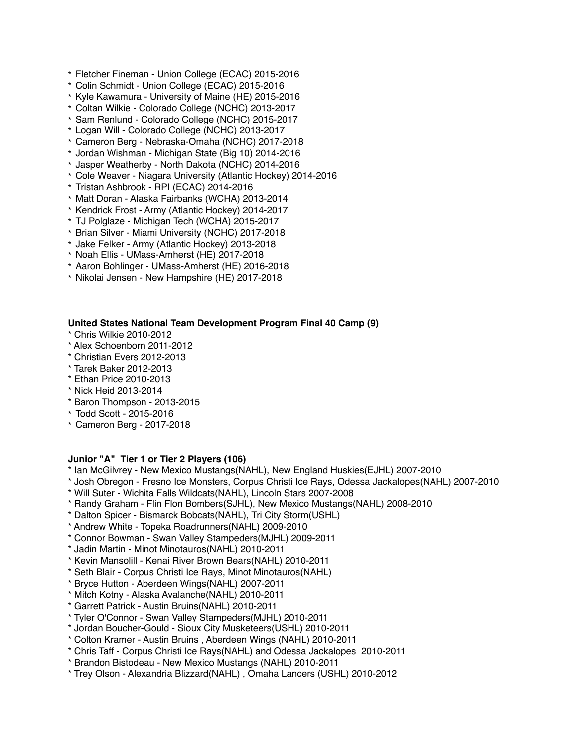- \* Fletcher Fineman Union College (ECAC) 2015-2016
- \* Colin Schmidt Union College (ECAC) 2015-2016
- \* Kyle Kawamura University of Maine (HE) 2015-2016
- \* Coltan Wilkie Colorado College (NCHC) 2013-2017
- \* Sam Renlund Colorado College (NCHC) 2015-2017
- \* Logan Will Colorado College (NCHC) 2013-2017
- \* Cameron Berg Nebraska-Omaha (NCHC) 2017-2018
- \* Jordan Wishman Michigan State (Big 10) 2014-2016
- \* Jasper Weatherby North Dakota (NCHC) 2014-2016
- \* Cole Weaver Niagara University (Atlantic Hockey) 2014-2016
- \* Tristan Ashbrook RPI (ECAC) 2014-2016
- \* Matt Doran Alaska Fairbanks (WCHA) 2013-2014
- \* Kendrick Frost Army (Atlantic Hockey) 2014-2017
- \* TJ Polglaze Michigan Tech (WCHA) 2015-2017
- \* Brian Silver Miami University (NCHC) 2017-2018
- \* Jake Felker Army (Atlantic Hockey) 2013-2018
- \* Noah Ellis UMass-Amherst (HE) 2017-2018
- \* Aaron Bohlinger UMass-Amherst (HE) 2016-2018
- \* Nikolai Jensen New Hampshire (HE) 2017-2018

#### **United States National Team Development Program Final 40 Camp (9)**

- \* Chris Wilkie 2010-2012
- \* Alex Schoenborn 2011-2012
- \* Christian Evers 2012-2013
- \* Tarek Baker 2012-2013
- \* Ethan Price 2010-2013
- \* Nick Heid 2013-2014
- \* Baron Thompson 2013-2015
- \* Todd Scott 2015-2016
- \* Cameron Berg 2017-2018

#### **Junior "A" Tier 1 or Tier 2 Players (106)**

- \* Ian McGilvrey New Mexico Mustangs(NAHL), New England Huskies(EJHL) 2007-2010
- \* Josh Obregon Fresno Ice Monsters, Corpus Christi Ice Rays, Odessa Jackalopes(NAHL) 2007-2010
- \* Will Suter Wichita Falls Wildcats(NAHL), Lincoln Stars 2007-2008
- \* Randy Graham Flin Flon Bombers(SJHL), New Mexico Mustangs(NAHL) 2008-2010
- \* Dalton Spicer Bismarck Bobcats(NAHL), Tri City Storm(USHL)
- \* Andrew White Topeka Roadrunners(NAHL) 2009-2010
- \* Connor Bowman Swan Valley Stampeders(MJHL) 2009-2011
- \* Jadin Martin Minot Minotauros(NAHL) 2010-2011
- \* Kevin Mansolill Kenai River Brown Bears(NAHL) 2010-2011
- \* Seth Blair Corpus Christi Ice Rays, Minot Minotauros(NAHL)
- \* Bryce Hutton Aberdeen Wings(NAHL) 2007-2011
- \* Mitch Kotny Alaska Avalanche(NAHL) 2010-2011
- \* Garrett Patrick Austin Bruins(NAHL) 2010-2011
- \* Tyler O'Connor Swan Valley Stampeders(MJHL) 2010-2011
- \* Jordan Boucher-Gould Sioux City Musketeers(USHL) 2010-2011
- \* Colton Kramer Austin Bruins , Aberdeen Wings (NAHL) 2010-2011
- \* Chris Taff Corpus Christi Ice Rays(NAHL) and Odessa Jackalopes 2010-2011
- \* Brandon Bistodeau New Mexico Mustangs (NAHL) 2010-2011
- \* Trey Olson Alexandria Blizzard(NAHL) , Omaha Lancers (USHL) 2010-2012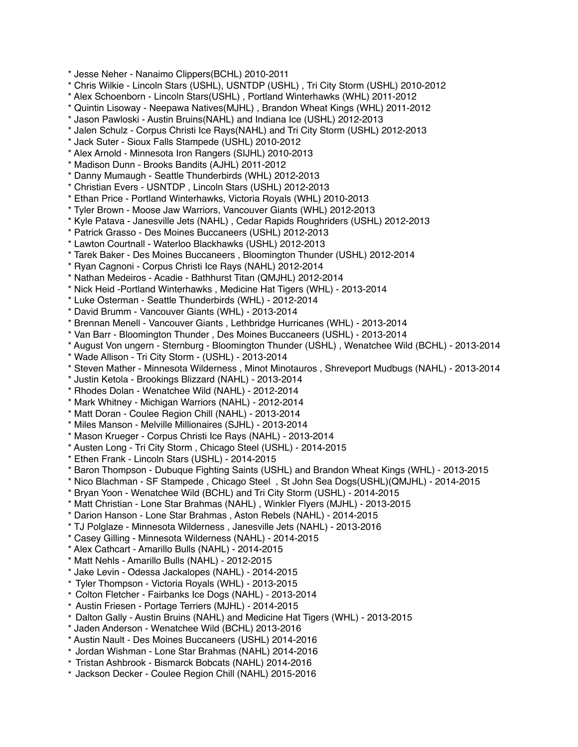\* Jesse Neher - Nanaimo Clippers(BCHL) 2010-2011

\* Chris Wilkie - Lincoln Stars (USHL), USNTDP (USHL) , Tri City Storm (USHL) 2010-2012

\* Alex Schoenborn - Lincoln Stars(USHL) , Portland Winterhawks (WHL) 2011-2012

\* Quintin Lisoway - Neepawa Natives(MJHL) , Brandon Wheat Kings (WHL) 2011-2012

\* Jason Pawloski - Austin Bruins(NAHL) and Indiana Ice (USHL) 2012-2013

\* Jalen Schulz - Corpus Christi Ice Rays(NAHL) and Tri City Storm (USHL) 2012-2013

\* Jack Suter - Sioux Falls Stampede (USHL) 2010-2012

\* Alex Arnold - Minnesota Iron Rangers (SIJHL) 2010-2013

\* Madison Dunn - Brooks Bandits (AJHL) 2011-2012

\* Danny Mumaugh - Seattle Thunderbirds (WHL) 2012-2013

\* Christian Evers - USNTDP , Lincoln Stars (USHL) 2012-2013

\* Ethan Price - Portland Winterhawks, Victoria Royals (WHL) 2010-2013

\* Tyler Brown - Moose Jaw Warriors, Vancouver Giants (WHL) 2012-2013

\* Kyle Patava - Janesville Jets (NAHL) , Cedar Rapids Roughriders (USHL) 2012-2013

\* Patrick Grasso - Des Moines Buccaneers (USHL) 2012-2013

\* Lawton Courtnall - Waterloo Blackhawks (USHL) 2012-2013

\* Tarek Baker - Des Moines Buccaneers , Bloomington Thunder (USHL) 2012-2014

\* Ryan Cagnoni - Corpus Christi Ice Rays (NAHL) 2012-2014

\* Nathan Medeiros - Acadie - Bathhurst Titan (QMJHL) 2012-2014

\* Nick Heid -Portland Winterhawks , Medicine Hat Tigers (WHL) - 2013-2014

\* Luke Osterman - Seattle Thunderbirds (WHL) - 2012-2014

\* David Brumm - Vancouver Giants (WHL) - 2013-2014

\* Brennan Menell - Vancouver Giants , Lethbridge Hurricanes (WHL) - 2013-2014

\* Van Barr - Bloomington Thunder , Des Moines Buccaneers (USHL) - 2013-2014

\* August Von ungern - Sternburg - Bloomington Thunder (USHL) , Wenatchee Wild (BCHL) - 2013-2014

\* Wade Allison - Tri City Storm - (USHL) - 2013-2014

\* Steven Mather - Minnesota Wilderness , Minot Minotauros , Shreveport Mudbugs (NAHL) - 2013-2014

\* Justin Ketola - Brookings Blizzard (NAHL) - 2013-2014

\* Rhodes Dolan - Wenatchee Wild (NAHL) - 2012-2014

\* Mark Whitney - Michigan Warriors (NAHL) - 2012-2014

\* Matt Doran - Coulee Region Chill (NAHL) - 2013-2014

\* Miles Manson - Melville Millionaires (SJHL) - 2013-2014

\* Mason Krueger - Corpus Christi Ice Rays (NAHL) - 2013-2014

\* Austen Long - Tri City Storm , Chicago Steel (USHL) - 2014-2015

\* Ethen Frank - Lincoln Stars (USHL) - 2014-2015

\* Baron Thompson - Dubuque Fighting Saints (USHL) and Brandon Wheat Kings (WHL) - 2013-2015

\* Nico Blachman - SF Stampede , Chicago Steel , St John Sea Dogs(USHL)(QMJHL) - 2014-2015

\* Bryan Yoon - Wenatchee Wild (BCHL) and Tri City Storm (USHL) - 2014-2015

\* Matt Christian - Lone Star Brahmas (NAHL) , Winkler Flyers (MJHL) - 2013-2015

\* Darion Hanson - Lone Star Brahmas , Aston Rebels (NAHL) - 2014-2015

\* TJ Polglaze - Minnesota Wilderness , Janesville Jets (NAHL) - 2013-2016

\* Casey Gilling - Minnesota Wilderness (NAHL) - 2014-2015

\* Alex Cathcart - Amarillo Bulls (NAHL) - 2014-2015

\* Matt Nehls - Amarillo Bulls (NAHL) - 2012-2015

\* Jake Levin - Odessa Jackalopes (NAHL) - 2014-2015

\* Tyler Thompson - Victoria Royals (WHL) - 2013-2015

\* Colton Fletcher - Fairbanks Ice Dogs (NAHL) - 2013-2014

\* Austin Friesen - Portage Terriers (MJHL) - 2014-2015

\* Dalton Gally - Austin Bruins (NAHL) and Medicine Hat Tigers (WHL) - 2013-2015

\* Jaden Anderson - Wenatchee Wild (BCHL) 2013-2016

\* Austin Nault - Des Moines Buccaneers (USHL) 2014-2016

\* Jordan Wishman - Lone Star Brahmas (NAHL) 2014-2016

\* Tristan Ashbrook - Bismarck Bobcats (NAHL) 2014-2016

\* Jackson Decker - Coulee Region Chill (NAHL) 2015-2016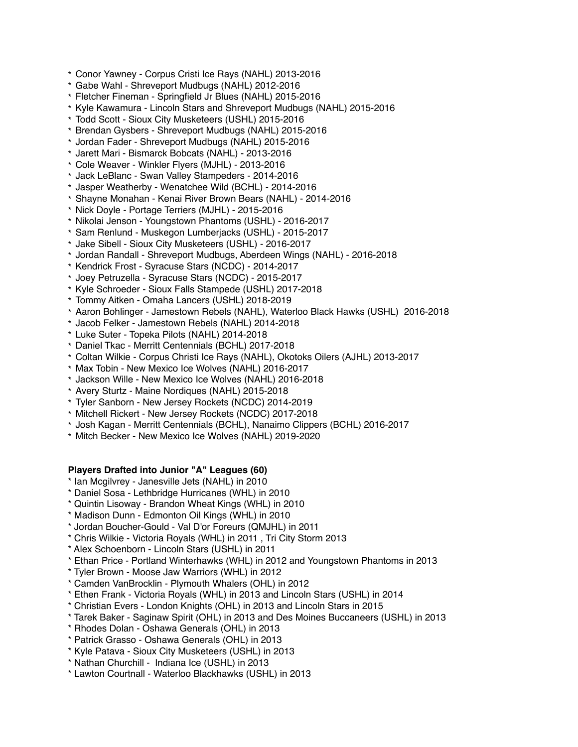- \* Conor Yawney Corpus Cristi Ice Rays (NAHL) 2013-2016
- \* Gabe Wahl Shreveport Mudbugs (NAHL) 2012-2016
- \* Fletcher Fineman Springfield Jr Blues (NAHL) 2015-2016
- \* Kyle Kawamura Lincoln Stars and Shreveport Mudbugs (NAHL) 2015-2016
- \* Todd Scott Sioux City Musketeers (USHL) 2015-2016
- \* Brendan Gysbers Shreveport Mudbugs (NAHL) 2015-2016
- \* Jordan Fader Shreveport Mudbugs (NAHL) 2015-2016
- \* Jarett Mari Bismarck Bobcats (NAHL) 2013-2016
- \* Cole Weaver Winkler Flyers (MJHL) 2013-2016
- \* Jack LeBlanc Swan Valley Stampeders 2014-2016
- \* Jasper Weatherby Wenatchee Wild (BCHL) 2014-2016
- \* Shayne Monahan Kenai River Brown Bears (NAHL) 2014-2016
- \* Nick Doyle Portage Terriers (MJHL) 2015-2016
- \* Nikolai Jenson Youngstown Phantoms (USHL) 2016-2017
- \* Sam Renlund Muskegon Lumberjacks (USHL) 2015-2017
- \* Jake Sibell Sioux City Musketeers (USHL) 2016-2017
- \* Jordan Randall Shreveport Mudbugs, Aberdeen Wings (NAHL) 2016-2018
- \* Kendrick Frost Syracuse Stars (NCDC) 2014-2017
- \* Joey Petruzella Syracuse Stars (NCDC) 2015-2017
- \* Kyle Schroeder Sioux Falls Stampede (USHL) 2017-2018
- \* Tommy Aitken Omaha Lancers (USHL) 2018-2019
- \* Aaron Bohlinger Jamestown Rebels (NAHL), Waterloo Black Hawks (USHL) 2016-2018
- \* Jacob Felker Jamestown Rebels (NAHL) 2014-2018
- \* Luke Suter Topeka Pilots (NAHL) 2014-2018
- \* Daniel Tkac Merritt Centennials (BCHL) 2017-2018
- \* Coltan Wilkie Corpus Christi Ice Rays (NAHL), Okotoks Oilers (AJHL) 2013-2017
- \* Max Tobin New Mexico Ice Wolves (NAHL) 2016-2017
- \* Jackson Wille New Mexico Ice Wolves (NAHL) 2016-2018
- \* Avery Sturtz Maine Nordiques (NAHL) 2015-2018
- \* Tyler Sanborn New Jersey Rockets (NCDC) 2014-2019
- \* Mitchell Rickert New Jersey Rockets (NCDC) 2017-2018
- \* Josh Kagan Merritt Centennials (BCHL), Nanaimo Clippers (BCHL) 2016-2017
- \* Mitch Becker New Mexico Ice Wolves (NAHL) 2019-2020

# **Players Drafted into Junior "A" Leagues (60)**

- \* Ian Mcgilvrey Janesville Jets (NAHL) in 2010
- \* Daniel Sosa Lethbridge Hurricanes (WHL) in 2010
- \* Quintin Lisoway Brandon Wheat Kings (WHL) in 2010
- \* Madison Dunn Edmonton Oil Kings (WHL) in 2010
- \* Jordan Boucher-Gould Val D'or Foreurs (QMJHL) in 2011
- \* Chris Wilkie Victoria Royals (WHL) in 2011 , Tri City Storm 2013
- \* Alex Schoenborn Lincoln Stars (USHL) in 2011
- \* Ethan Price Portland Winterhawks (WHL) in 2012 and Youngstown Phantoms in 2013
- \* Tyler Brown Moose Jaw Warriors (WHL) in 2012
- \* Camden VanBrocklin Plymouth Whalers (OHL) in 2012
- \* Ethen Frank Victoria Royals (WHL) in 2013 and Lincoln Stars (USHL) in 2014
- \* Christian Evers London Knights (OHL) in 2013 and Lincoln Stars in 2015
- \* Tarek Baker Saginaw Spirit (OHL) in 2013 and Des Moines Buccaneers (USHL) in 2013
- \* Rhodes Dolan Oshawa Generals (OHL) in 2013
- \* Patrick Grasso Oshawa Generals (OHL) in 2013
- \* Kyle Patava Sioux City Musketeers (USHL) in 2013
- \* Nathan Churchill Indiana Ice (USHL) in 2013
- \* Lawton Courtnall Waterloo Blackhawks (USHL) in 2013